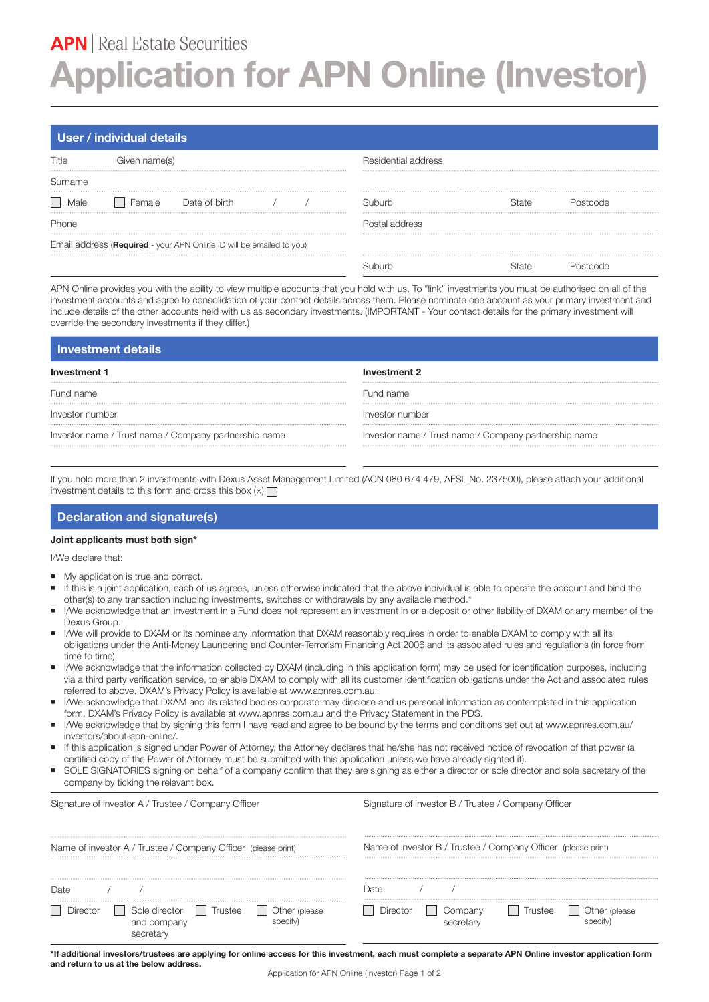# **APN** | Real Estate Securities **Application for APN Online (Investor)**

## **User / individual details**

| Title  | Given name(s)                                                        |  | Residential address |  |  |  |
|--------|----------------------------------------------------------------------|--|---------------------|--|--|--|
| Sumame |                                                                      |  |                     |  |  |  |
|        | Date of birth                                                        |  | 31 ihi irh          |  |  |  |
| Phone  |                                                                      |  |                     |  |  |  |
|        | Email address (Required - your APN Online ID will be emailed to you) |  |                     |  |  |  |
|        |                                                                      |  |                     |  |  |  |

APN Online provides you with the ability to view multiple accounts that you hold with us. To "link" investments you must be authorised on all of the investment accounts and agree to consolidation of your contact details across them. Please nominate one account as your primary investment and include details of the other accounts held with us as secondary investments. (IMPORTANT - Your contact details for the primary investment will override the secondary investments if they differ.)

| Investment details                                    |                                                       |  |  |  |
|-------------------------------------------------------|-------------------------------------------------------|--|--|--|
| Investment 1                                          | Investment 2                                          |  |  |  |
|                                                       |                                                       |  |  |  |
| Fund name                                             | Fund name                                             |  |  |  |
|                                                       |                                                       |  |  |  |
| Investor number                                       | Investor number                                       |  |  |  |
|                                                       |                                                       |  |  |  |
| Investor name / Trust name / Company partnership name | Investor name / Trust name / Company partnership name |  |  |  |

If you hold more than 2 investments with Dexus Asset Management Limited (ACN 080 674 479, AFSL No. 237500), please attach your additional investment details to this form and cross this box  $(x)$ 

#### **Declaration and signature(s)**

### **Joint applicants must both sign\***

I/We declare that:

- My application is true and correct.
- If this is a joint application, each of us agrees, unless otherwise indicated that the above individual is able to operate the account and bind the other(s) to any transaction including investments, switches or withdrawals by any available method.\*
- I/We acknowledge that an investment in a Fund does not represent an investment in or a deposit or other liability of DXAM or any member of the Dexus Group.
- I/We will provide to DXAM or its nominee any information that DXAM reasonably requires in order to enable DXAM to comply with all its obligations under the Anti-Money Laundering and Counter-Terrorism Financing Act 2006 and its associated rules and regulations (in force from time to time).
- I/We acknowledge that the information collected by DXAM (including in this application form) may be used for identification purposes, including via a third party verification service, to enable DXAM to comply with all its customer identification obligations under the Act and associated rules referred to above. DXAM's Privacy Policy is available at www.apnres.com.au.
- I/We acknowledge that DXAM and its related bodies corporate may disclose and us personal information as contemplated in this application form, DXAM's Privacy Policy is available at www.apnres.com.au and the Privacy Statement in the PDS.
- I/We acknowledge that by signing this form I have read and agree to be bound by the terms and conditions set out at www.apnres.com.au/ investors/about-apn-online/.
- If this application is signed under Power of Attorney, the Attorney declares that he/she has not received notice of revocation of that power (a certified copy of the Power of Attorney must be submitted with this application unless we have already sighted it).
- SOLE SIGNATORIES signing on behalf of a company confirm that they are signing as either a director or sole director and sole secretary of the company by ticking the relevant box.

| Signature of investor A / Trustee / Company Officer           | Signature of investor B / Trustee / Company Officer           |  |  |
|---------------------------------------------------------------|---------------------------------------------------------------|--|--|
|                                                               |                                                               |  |  |
| Name of investor A / Trustee / Company Officer (please print) | Name of investor B / Trustee / Company Officer (please print) |  |  |
|                                                               |                                                               |  |  |
|                                                               |                                                               |  |  |
| I )ate                                                        | )ate                                                          |  |  |
|                                                               |                                                               |  |  |
| l ri istee                                                    | omnanv                                                        |  |  |
| and company                                                   | Irustee                                                       |  |  |

**\*If additional investors/trustees are applying for online access for this investment, each must complete a separate APN Online investor application form and return to us at the below address.**